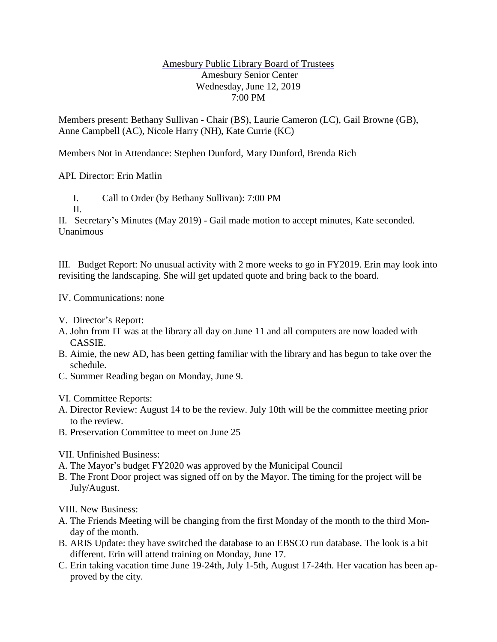## Amesbury Public Library Board of Trustees Amesbury Senior Center Wednesday, June 12, 2019 7:00 PM

Members present: Bethany Sullivan - Chair (BS), Laurie Cameron (LC), Gail Browne (GB), Anne Campbell (AC), Nicole Harry (NH), Kate Currie (KC)

Members Not in Attendance: Stephen Dunford, Mary Dunford, Brenda Rich

APL Director: Erin Matlin

I. Call to Order (by Bethany Sullivan): 7:00 PM

II.

II. Secretary's Minutes (May 2019) - Gail made motion to accept minutes, Kate seconded. Unanimous

III. Budget Report: No unusual activity with 2 more weeks to go in FY2019. Erin may look into revisiting the landscaping. She will get updated quote and bring back to the board.

## IV. Communications: none

- V. Director's Report:
- A. John from IT was at the library all day on June 11 and all computers are now loaded with CASSIE.
- B. Aimie, the new AD, has been getting familiar with the library and has begun to take over the schedule.
- C. Summer Reading began on Monday, June 9.

## VI. Committee Reports:

- A. Director Review: August 14 to be the review. July 10th will be the committee meeting prior to the review.
- B. Preservation Committee to meet on June 25

VII. Unfinished Business:

- A. The Mayor's budget FY2020 was approved by the Municipal Council
- B. The Front Door project was signed off on by the Mayor. The timing for the project will be July/August.

VIII. New Business:

- A. The Friends Meeting will be changing from the first Monday of the month to the third Monday of the month.
- B. ARIS Update: they have switched the database to an EBSCO run database. The look is a bit different. Erin will attend training on Monday, June 17.
- C. Erin taking vacation time June 19-24th, July 1-5th, August 17-24th. Her vacation has been approved by the city.